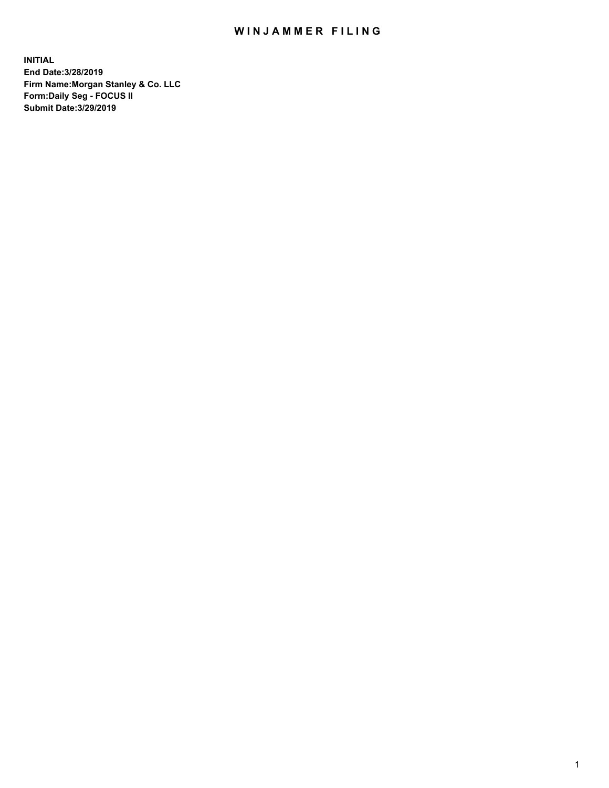## WIN JAMMER FILING

**INITIAL End Date:3/28/2019 Firm Name:Morgan Stanley & Co. LLC Form:Daily Seg - FOCUS II Submit Date:3/29/2019**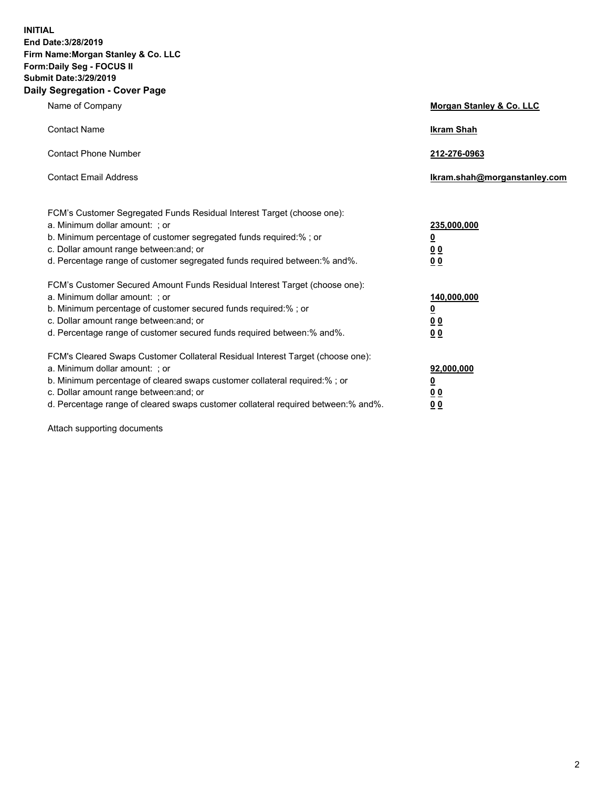**INITIAL End Date:3/28/2019 Firm Name:Morgan Stanley & Co. LLC Form:Daily Seg - FOCUS II Submit Date:3/29/2019 Daily Segregation - Cover Page**

| Name of Company                                                                                                                                                                                                                                                                                                                | Morgan Stanley & Co. LLC                                    |
|--------------------------------------------------------------------------------------------------------------------------------------------------------------------------------------------------------------------------------------------------------------------------------------------------------------------------------|-------------------------------------------------------------|
| <b>Contact Name</b>                                                                                                                                                                                                                                                                                                            | <b>Ikram Shah</b>                                           |
| <b>Contact Phone Number</b>                                                                                                                                                                                                                                                                                                    | 212-276-0963                                                |
| <b>Contact Email Address</b>                                                                                                                                                                                                                                                                                                   | Ikram.shah@morganstanley.com                                |
| FCM's Customer Segregated Funds Residual Interest Target (choose one):<br>a. Minimum dollar amount: ; or<br>b. Minimum percentage of customer segregated funds required:% ; or<br>c. Dollar amount range between: and; or<br>d. Percentage range of customer segregated funds required between:% and%.                         | 235,000,000<br><u>0</u><br>0 <sub>0</sub><br>0 <sub>0</sub> |
| FCM's Customer Secured Amount Funds Residual Interest Target (choose one):<br>a. Minimum dollar amount: ; or<br>b. Minimum percentage of customer secured funds required:%; or<br>c. Dollar amount range between: and; or<br>d. Percentage range of customer secured funds required between:% and%.                            | 140,000,000<br><u>0</u><br>0 <sub>0</sub><br>0 <sub>0</sub> |
| FCM's Cleared Swaps Customer Collateral Residual Interest Target (choose one):<br>a. Minimum dollar amount: ; or<br>b. Minimum percentage of cleared swaps customer collateral required:% ; or<br>c. Dollar amount range between: and; or<br>d. Percentage range of cleared swaps customer collateral required between:% and%. | 92,000,000<br><u>0</u><br><u>00</u><br>0 <sub>0</sub>       |

Attach supporting documents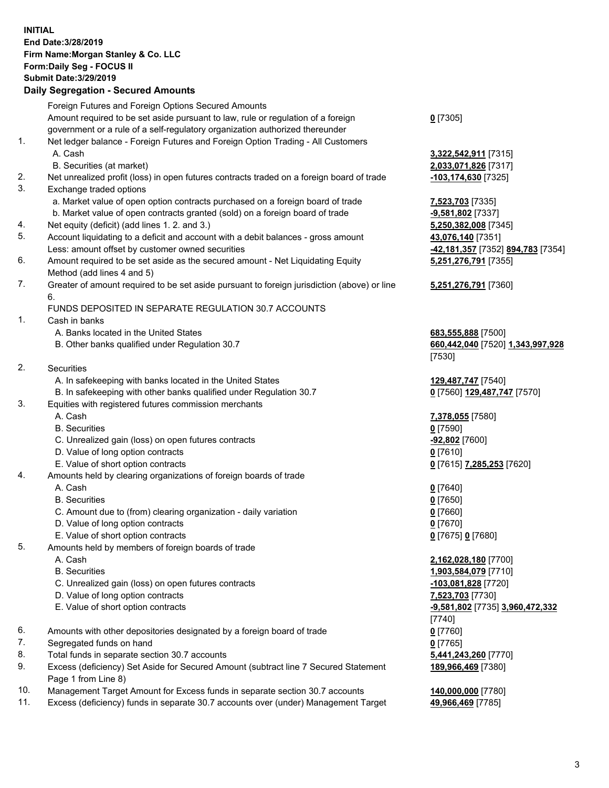## **INITIAL End Date:3/28/2019 Firm Name:Morgan Stanley & Co. LLC Form:Daily Seg - FOCUS II Submit Date:3/29/2019**

## **Daily Segregation - Secured Amounts**

|     | Foreign Futures and Foreign Options Secured Amounts                                                        |                                                       |
|-----|------------------------------------------------------------------------------------------------------------|-------------------------------------------------------|
|     | Amount required to be set aside pursuant to law, rule or regulation of a foreign                           | $0$ [7305]                                            |
|     | government or a rule of a self-regulatory organization authorized thereunder                               |                                                       |
| 1.  | Net ledger balance - Foreign Futures and Foreign Option Trading - All Customers                            |                                                       |
|     | A. Cash                                                                                                    | 3,322,542,911 [7315]                                  |
|     | B. Securities (at market)                                                                                  | 2,033,071,826 [7317]                                  |
| 2.  | Net unrealized profit (loss) in open futures contracts traded on a foreign board of trade                  | -103,174,630 [7325]                                   |
| 3.  | Exchange traded options                                                                                    |                                                       |
|     | a. Market value of open option contracts purchased on a foreign board of trade                             | 7,523,703 [7335]                                      |
|     | b. Market value of open contracts granted (sold) on a foreign board of trade                               | -9,581,802 [7337]                                     |
| 4.  | Net equity (deficit) (add lines 1.2. and 3.)                                                               | 5,250,382,008 [7345]                                  |
| 5.  | Account liquidating to a deficit and account with a debit balances - gross amount                          | 43,076,140 [7351]                                     |
|     | Less: amount offset by customer owned securities                                                           | <mark>-42,181,357</mark> [7352] <b>894,783</b> [7354] |
| 6.  | Amount required to be set aside as the secured amount - Net Liquidating Equity                             | 5,251,276,791 [7355]                                  |
|     | Method (add lines 4 and 5)                                                                                 |                                                       |
| 7.  | Greater of amount required to be set aside pursuant to foreign jurisdiction (above) or line                | 5,251,276,791 [7360]                                  |
|     | 6.                                                                                                         |                                                       |
|     | FUNDS DEPOSITED IN SEPARATE REGULATION 30.7 ACCOUNTS                                                       |                                                       |
| 1.  | Cash in banks                                                                                              |                                                       |
|     | A. Banks located in the United States                                                                      | 683,555,888 [7500]                                    |
|     | B. Other banks qualified under Regulation 30.7                                                             | 660,442,040 [7520] 1,343,997,928                      |
|     |                                                                                                            | [7530]                                                |
| 2.  | Securities                                                                                                 |                                                       |
|     | A. In safekeeping with banks located in the United States                                                  | 129,487,747 [7540]                                    |
|     | B. In safekeeping with other banks qualified under Regulation 30.7                                         | 0 [7560] 129,487,747 [7570]                           |
| 3.  | Equities with registered futures commission merchants                                                      |                                                       |
|     | A. Cash                                                                                                    | 7,378,055 [7580]                                      |
|     | <b>B.</b> Securities                                                                                       | $0$ [7590]                                            |
|     | C. Unrealized gain (loss) on open futures contracts                                                        | -92,802 [7600]                                        |
|     | D. Value of long option contracts                                                                          | <u>0</u> [7610]                                       |
|     | E. Value of short option contracts                                                                         | 0 [7615] 7,285,253 [7620]                             |
| 4.  | Amounts held by clearing organizations of foreign boards of trade                                          |                                                       |
|     | A. Cash                                                                                                    | $0$ [7640]                                            |
|     | <b>B.</b> Securities                                                                                       | $0$ [7650]                                            |
|     | C. Amount due to (from) clearing organization - daily variation                                            | $0$ [7660]                                            |
|     | D. Value of long option contracts                                                                          | $0$ [7670]                                            |
|     | E. Value of short option contracts                                                                         | 0 [7675] 0 [7680]                                     |
| 5.  | Amounts held by members of foreign boards of trade                                                         |                                                       |
|     | A. Cash                                                                                                    | 2,162,028,180 [7700]                                  |
|     | <b>B.</b> Securities                                                                                       | 1,903,584,079 [7710]                                  |
|     | C. Unrealized gain (loss) on open futures contracts                                                        | -103,081,828 [7720]                                   |
|     | D. Value of long option contracts                                                                          | 7,523,703 [7730]                                      |
|     | E. Value of short option contracts                                                                         | -9,581,802 [7735] 3,960,472,332                       |
|     |                                                                                                            | [7740]                                                |
| 6.  | Amounts with other depositories designated by a foreign board of trade                                     | $0$ [7760]                                            |
| 7.  | Segregated funds on hand                                                                                   | $0$ [7765]                                            |
| 8.  | Total funds in separate section 30.7 accounts                                                              | 5,441,243,260 [7770]                                  |
| 9.  | Excess (deficiency) Set Aside for Secured Amount (subtract line 7 Secured Statement<br>Page 1 from Line 8) | 189,966,469 [7380]                                    |
| 10. | Management Target Amount for Excess funds in separate section 30.7 accounts                                | 140,000,000 [7780]                                    |

11. Excess (deficiency) funds in separate 30.7 accounts over (under) Management Target **49,966,469** [7785]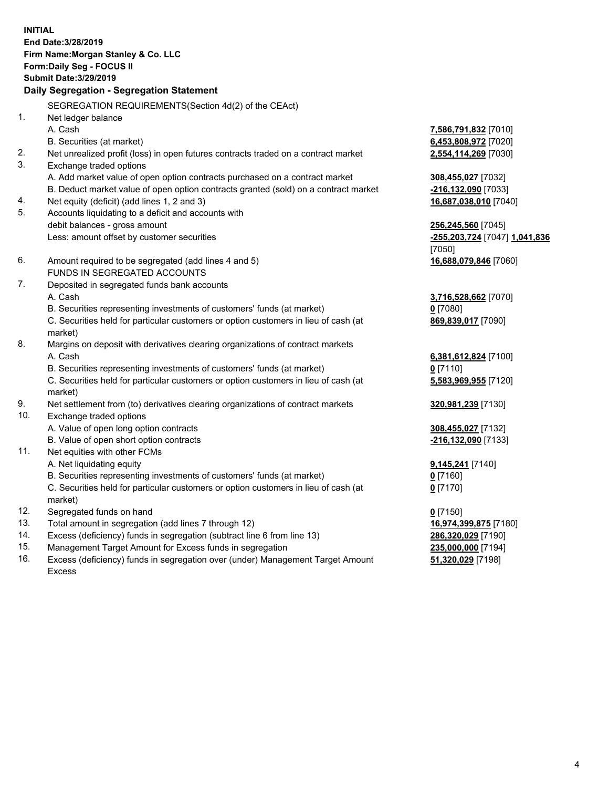**INITIAL End Date:3/28/2019 Firm Name:Morgan Stanley & Co. LLC Form:Daily Seg - FOCUS II Submit Date:3/29/2019 Daily Segregation - Segregation Statement** SEGREGATION REQUIREMENTS(Section 4d(2) of the CEAct) 1. Net ledger balance A. Cash **7,586,791,832** [7010] B. Securities (at market) **6,453,808,972** [7020] 2. Net unrealized profit (loss) in open futures contracts traded on a contract market **2,554,114,269** [7030] 3. Exchange traded options A. Add market value of open option contracts purchased on a contract market **308,455,027** [7032] B. Deduct market value of open option contracts granted (sold) on a contract market **-216,132,090** [7033] 4. Net equity (deficit) (add lines 1, 2 and 3) **16,687,038,010** [7040] 5. Accounts liquidating to a deficit and accounts with debit balances - gross amount **256,245,560** [7045] Less: amount offset by customer securities **-255,203,724** [7047] **1,041,836** [7050] 6. Amount required to be segregated (add lines 4 and 5) **16,688,079,846** [7060] FUNDS IN SEGREGATED ACCOUNTS 7. Deposited in segregated funds bank accounts A. Cash **3,716,528,662** [7070] B. Securities representing investments of customers' funds (at market) **0** [7080] C. Securities held for particular customers or option customers in lieu of cash (at market) **869,839,017** [7090] 8. Margins on deposit with derivatives clearing organizations of contract markets A. Cash **6,381,612,824** [7100] B. Securities representing investments of customers' funds (at market) **0** [7110] C. Securities held for particular customers or option customers in lieu of cash (at market) **5,583,969,955** [7120] 9. Net settlement from (to) derivatives clearing organizations of contract markets **320,981,239** [7130] 10. Exchange traded options A. Value of open long option contracts **308,455,027** [7132] B. Value of open short option contracts **-216,132,090** [7133] 11. Net equities with other FCMs A. Net liquidating equity **9,145,241** [7140] B. Securities representing investments of customers' funds (at market) **0** [7160] C. Securities held for particular customers or option customers in lieu of cash (at market) **0** [7170] 12. Segregated funds on hand **0** [7150] 13. Total amount in segregation (add lines 7 through 12) **16,974,399,875** [7180] 14. Excess (deficiency) funds in segregation (subtract line 6 from line 13) **286,320,029** [7190]

- 15. Management Target Amount for Excess funds in segregation **235,000,000** [7194]
- 16. Excess (deficiency) funds in segregation over (under) Management Target Amount Excess

**51,320,029** [7198]